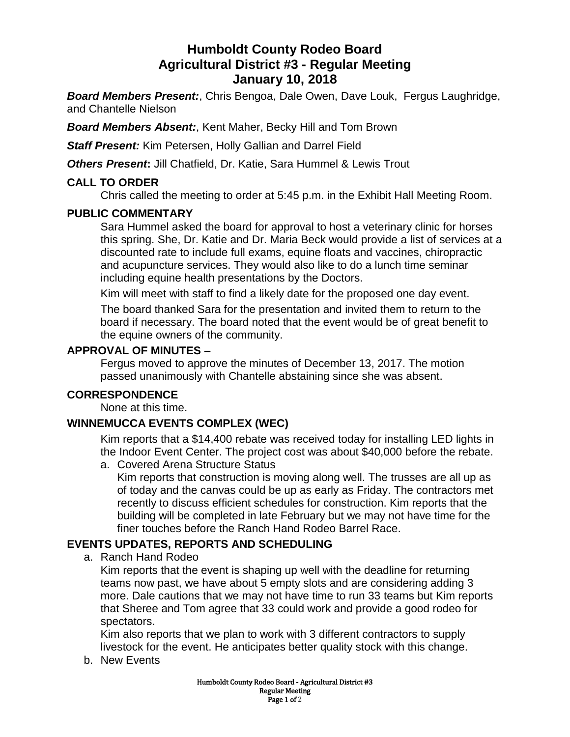# **Humboldt County Rodeo Board Agricultural District #3 - Regular Meeting January 10, 2018**

*Board Members Present:*, Chris Bengoa, Dale Owen, Dave Louk, Fergus Laughridge, and Chantelle Nielson

*Board Members Absent:*, Kent Maher, Becky Hill and Tom Brown

*Staff Present:* Kim Petersen, Holly Gallian and Darrel Field

**Others Present:** Jill Chatfield, Dr. Katie, Sara Hummel & Lewis Trout

# **CALL TO ORDER**

Chris called the meeting to order at 5:45 p.m. in the Exhibit Hall Meeting Room.

# **PUBLIC COMMENTARY**

Sara Hummel asked the board for approval to host a veterinary clinic for horses this spring. She, Dr. Katie and Dr. Maria Beck would provide a list of services at a discounted rate to include full exams, equine floats and vaccines, chiropractic and acupuncture services. They would also like to do a lunch time seminar including equine health presentations by the Doctors.

Kim will meet with staff to find a likely date for the proposed one day event.

The board thanked Sara for the presentation and invited them to return to the board if necessary. The board noted that the event would be of great benefit to the equine owners of the community.

### **APPROVAL OF MINUTES –**

Fergus moved to approve the minutes of December 13, 2017. The motion passed unanimously with Chantelle abstaining since she was absent.

# **CORRESPONDENCE**

None at this time.

# **WINNEMUCCA EVENTS COMPLEX (WEC)**

Kim reports that a \$14,400 rebate was received today for installing LED lights in the Indoor Event Center. The project cost was about \$40,000 before the rebate.

a. Covered Arena Structure Status

Kim reports that construction is moving along well. The trusses are all up as of today and the canvas could be up as early as Friday. The contractors met recently to discuss efficient schedules for construction. Kim reports that the building will be completed in late February but we may not have time for the finer touches before the Ranch Hand Rodeo Barrel Race.

# **EVENTS UPDATES, REPORTS AND SCHEDULING**

a. Ranch Hand Rodeo

Kim reports that the event is shaping up well with the deadline for returning teams now past, we have about 5 empty slots and are considering adding 3 more. Dale cautions that we may not have time to run 33 teams but Kim reports that Sheree and Tom agree that 33 could work and provide a good rodeo for spectators.

Kim also reports that we plan to work with 3 different contractors to supply livestock for the event. He anticipates better quality stock with this change.

b. New Events